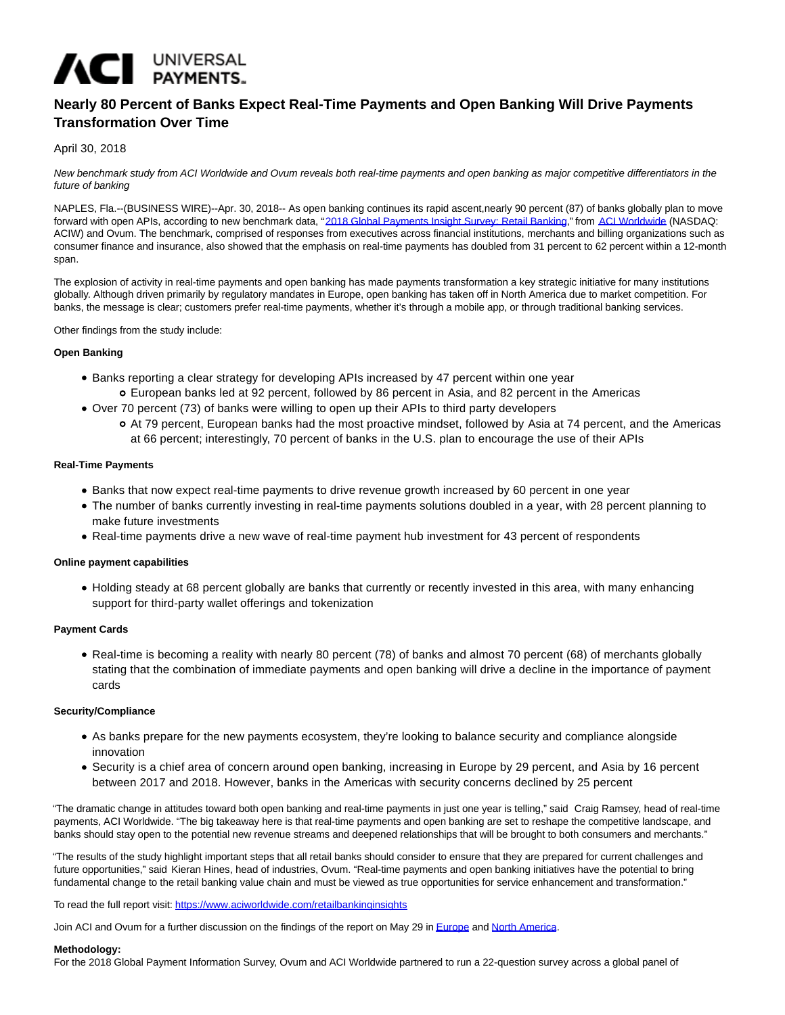# ACI UNIVERSAL

## **Nearly 80 Percent of Banks Expect Real-Time Payments and Open Banking Will Drive Payments Transformation Over Time**

### April 30, 2018

New benchmark study from ACI Worldwide and Ovum reveals both real-time payments and open banking as major competitive differentiators in the future of banking

NAPLES, Fla.--(BUSINESS WIRE)--Apr. 30, 2018-- As open banking continues its rapid ascent,nearly 90 percent (87) of banks globally plan to move forward with open APIs, according to new benchmark data, ["2018 Global Payments Insight Survey: Retail Banking,"](http://cts.businesswire.com/ct/CT?id=smartlink&url=https%3A%2F%2Fwww.aciworldwide.com%2Flp%2Fpayments-insight-2018%2Freal-time-open-apis-at-the-heart-of-payments-transformation%3Futm_source%3Dbusiness-wire%26utm_medium%3Dpress-release&esheet=51797265&newsitemid=20180430005162&lan=en-US&anchor=2018+Global+Payments+Insight+Survey%3A+Retail+Banking&index=1&md5=41a3b00043275b6efbac35b760d76b16) from [ACI Worldwide \(](http://cts.businesswire.com/ct/CT?id=smartlink&url=https%3A%2F%2Fwww.aciworldwide.com%2F%3Futm_source%3Dbusiness-wire%26utm_medium%3Dpress-release&esheet=51797265&newsitemid=20180430005162&lan=en-US&anchor=ACI+Worldwide&index=2&md5=49921f0fc69ceaef7269116899003a00)NASDAQ: ACIW) and Ovum. The benchmark, comprised of responses from executives across financial institutions, merchants and billing organizations such as consumer finance and insurance, also showed that the emphasis on real-time payments has doubled from 31 percent to 62 percent within a 12-month span.

The explosion of activity in real-time payments and open banking has made payments transformation a key strategic initiative for many institutions globally. Although driven primarily by regulatory mandates in Europe, open banking has taken off in North America due to market competition. For banks, the message is clear; customers prefer real-time payments, whether it's through a mobile app, or through traditional banking services.

Other findings from the study include:

#### **Open Banking**

- Banks reporting a clear strategy for developing APIs increased by 47 percent within one year
	- European banks led at 92 percent, followed by 86 percent in Asia, and 82 percent in the Americas
- Over 70 percent (73) of banks were willing to open up their APIs to third party developers
	- At 79 percent, European banks had the most proactive mindset, followed by Asia at 74 percent, and the Americas at 66 percent; interestingly, 70 percent of banks in the U.S. plan to encourage the use of their APIs

#### **Real-Time Payments**

- Banks that now expect real-time payments to drive revenue growth increased by 60 percent in one year
- The number of banks currently investing in real-time payments solutions doubled in a year, with 28 percent planning to make future investments
- Real-time payments drive a new wave of real-time payment hub investment for 43 percent of respondents

#### **Online payment capabilities**

Holding steady at 68 percent globally are banks that currently or recently invested in this area, with many enhancing support for third-party wallet offerings and tokenization

#### **Payment Cards**

Real-time is becoming a reality with nearly 80 percent (78) of banks and almost 70 percent (68) of merchants globally stating that the combination of immediate payments and open banking will drive a decline in the importance of payment cards

#### **Security/Compliance**

- As banks prepare for the new payments ecosystem, they're looking to balance security and compliance alongside innovation
- Security is a chief area of concern around open banking, increasing in Europe by 29 percent, and Asia by 16 percent between 2017 and 2018. However, banks in the Americas with security concerns declined by 25 percent

"The dramatic change in attitudes toward both open banking and real-time payments in just one year is telling," said Craig Ramsey, head of real-time payments, ACI Worldwide. "The big takeaway here is that real-time payments and open banking are set to reshape the competitive landscape, and banks should stay open to the potential new revenue streams and deepened relationships that will be brought to both consumers and merchants."

"The results of the study highlight important steps that all retail banks should consider to ensure that they are prepared for current challenges and future opportunities," said Kieran Hines, head of industries, Ovum. "Real-time payments and open banking initiatives have the potential to bring fundamental change to the retail banking value chain and must be viewed as true opportunities for service enhancement and transformation."

To read the full report visit: [https://www.aciworldwide.com/retailbankinginsights](http://cts.businesswire.com/ct/CT?id=smartlink&url=https%3A%2F%2Fwww.aciworldwide.com%2Flp%2Fpayments-insight-2018%2Freal-time-open-apis-at-the-heart-of-payments-transformation%3Futm_source%3Dbusiness-wire%26utm_medium%3Dpress-release&esheet=51797265&newsitemid=20180430005162&lan=en-US&anchor=https%3A%2F%2Fwww.aciworldwide.com%2Fretailbankinginsights&index=3&md5=a75cfc5165707fa3b532ac023fa45263)

Join ACI and Ovum for a further discussion on the findings of the report on May 29 i[n Europe a](http://cts.businesswire.com/ct/CT?id=smartlink&url=https%3A%2F%2Faciworldwide.webex.com%2Faciworldwide%2Fonstage%2Fg.php%3FMTID%3De2a1a9ce57bb6757a445a585401295752&esheet=51797265&newsitemid=20180430005162&lan=en-US&anchor=Europe&index=4&md5=dffea4376f42f314fccf5fb655eda069)nd [North America.](http://cts.businesswire.com/ct/CT?id=smartlink&url=https%3A%2F%2Faciworldwide.webex.com%2Faciworldwide%2Fonstage%2Fg.php%3FMTID%3De36b91c30f57f008551a944efaeb666b0&esheet=51797265&newsitemid=20180430005162&lan=en-US&anchor=North+America&index=5&md5=a71e81319f3b4e85ab730cac13035f33)

#### **Methodology:**

For the 2018 Global Payment Information Survey, Ovum and ACI Worldwide partnered to run a 22-question survey across a global panel of